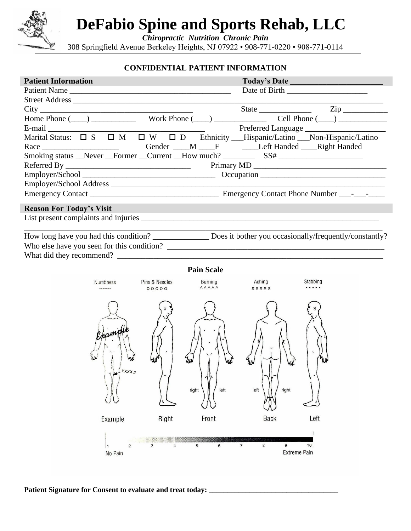

Γ

# **DeFabio Spine and Sports Rehab, LLC**

*Chiropractic Nutrition Chronic Pain*

308 Springfield Avenue Berkeley Heights, NJ 07922 • 908-771-0220 • 908-771-0114

#### **CONFIDENTIAL PATIENT INFORMATION**

| <b>Patient Information</b>                                                                                                                           |                         |                                            |                            |          |
|------------------------------------------------------------------------------------------------------------------------------------------------------|-------------------------|--------------------------------------------|----------------------------|----------|
| Patient Name                                                                                                                                         |                         |                                            |                            |          |
|                                                                                                                                                      |                         |                                            |                            |          |
|                                                                                                                                                      |                         |                                            |                            |          |
| Home Phone $(\_\_)$ Work Phone $(\_\_)$ Cell Phone $(\_\_)$                                                                                          |                         |                                            |                            |          |
| E-mail Preferred Language Preferred Language Marital Status: $\Box$ S $\Box$ M $\Box$ W $\Box$ D Ethnicity ___Hispanic/Latino ___Non-Hispanic/Latino |                         |                                            |                            |          |
|                                                                                                                                                      |                         |                                            |                            |          |
|                                                                                                                                                      |                         |                                            |                            |          |
| Race Gender M <sub>F</sub> Left Handed Right Handed<br>Smoking status Never Former Current How much? SS#                                             |                         |                                            |                            |          |
|                                                                                                                                                      |                         |                                            |                            |          |
|                                                                                                                                                      |                         |                                            |                            |          |
|                                                                                                                                                      |                         |                                            |                            |          |
|                                                                                                                                                      |                         |                                            |                            |          |
| <b>Reason For Today's Visit</b>                                                                                                                      |                         |                                            |                            |          |
|                                                                                                                                                      |                         |                                            |                            |          |
|                                                                                                                                                      |                         |                                            |                            |          |
| How long have you had this condition? _______________ Does it bother you occasionally/frequently/constantly?                                         |                         |                                            |                            |          |
|                                                                                                                                                      |                         |                                            |                            |          |
|                                                                                                                                                      |                         |                                            |                            |          |
|                                                                                                                                                      |                         | <b>Pain Scale</b>                          |                            |          |
|                                                                                                                                                      |                         |                                            |                            |          |
| Numbness<br>-------                                                                                                                                  | Pins & Needles<br>00000 | Burning<br>$\land \land \land \land \land$ | Aching<br><b>xxxxx</b>     | Stabbing |
|                                                                                                                                                      |                         |                                            |                            |          |
|                                                                                                                                                      |                         |                                            |                            |          |
|                                                                                                                                                      |                         |                                            |                            |          |
|                                                                                                                                                      |                         |                                            |                            |          |
| Champ                                                                                                                                                |                         |                                            |                            |          |
|                                                                                                                                                      |                         |                                            |                            |          |
|                                                                                                                                                      |                         |                                            |                            |          |
|                                                                                                                                                      |                         |                                            |                            | ้งเ      |
| XXXX 5                                                                                                                                               |                         |                                            |                            |          |
|                                                                                                                                                      |                         |                                            |                            |          |
|                                                                                                                                                      |                         | right<br>left                              | right<br>left              |          |
|                                                                                                                                                      |                         |                                            |                            |          |
|                                                                                                                                                      |                         |                                            |                            |          |
|                                                                                                                                                      |                         |                                            |                            |          |
| Example                                                                                                                                              | Right                   | Front                                      | <b>Back</b>                | Left     |
|                                                                                                                                                      |                         |                                            |                            |          |
|                                                                                                                                                      |                         | $\,6$                                      | $\boldsymbol{7}$<br>8<br>9 | 10       |

Patient Signature for Consent to evaluate and treat today: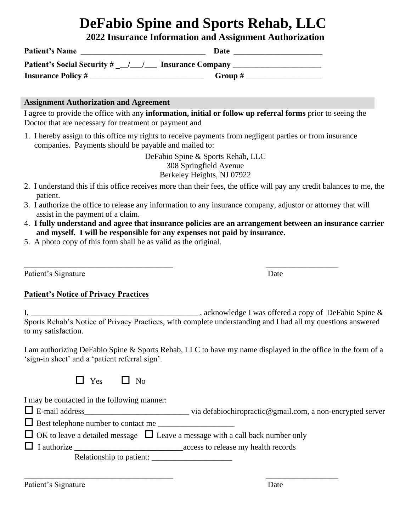## **DeFabio Spine and Sports Rehab, LLC**

**2022 Insurance Information and Assignment Authorization**

| <b>Patient's Name</b>              | Date                     |
|------------------------------------|--------------------------|
| <b>Patient's Social Security #</b> | <b>Insurance Company</b> |
| <b>Insurance Policy #</b>          | Group $#$                |

#### **Assignment Authorization and Agreement**

I agree to provide the office with any **information, initial or follow up referral forms** prior to seeing the Doctor that are necessary for treatment or payment and

1. I hereby assign to this office my rights to receive payments from negligent parties or from insurance companies. Payments should be payable and mailed to:

> DeFabio Spine & Sports Rehab, LLC 308 Springfield Avenue Berkeley Heights, NJ 07922

- 2. I understand this if this office receives more than their fees, the office will pay any credit balances to me, the patient.
- 3. I authorize the office to release any information to any insurance company, adjustor or attorney that will assist in the payment of a claim.

\_\_\_\_\_\_\_\_\_\_\_\_\_\_\_\_\_\_\_\_\_\_\_\_\_\_\_\_\_\_\_\_\_\_\_\_\_ \_\_\_\_\_\_\_\_\_\_\_\_\_\_\_\_\_\_

- 4. **I fully understand and agree that insurance policies are an arrangement between an insurance carrier and myself. I will be responsible for any expenses not paid by insurance.**
- 5. A photo copy of this form shall be as valid as the original.

Patient's Signature Date

#### **Patient's Notice of Privacy Practices**

I, \_\_\_\_\_\_\_\_\_\_\_\_\_\_\_\_\_\_\_\_\_\_\_\_\_\_\_\_\_\_\_\_\_\_\_\_\_\_\_\_\_\_, acknowledge I was offered a copy of DeFabio Spine & Sports Rehab's Notice of Privacy Practices, with complete understanding and I had all my questions answered to my satisfaction.

I am authorizing DeFabio Spine & Sports Rehab, LLC to have my name displayed in the office in the form of a 'sign-in sheet' and a 'patient referral sign'.

|  | $-8$ | Ν∩<br>ı |
|--|------|---------|
|--|------|---------|

I may be contacted in the following manner:

E-mail address\_\_\_\_\_\_\_\_\_\_\_\_\_\_\_\_\_\_\_\_\_\_\_\_\_\_ via defabiochiropractic@gmail.com, a non-encrypted server

 $\Box$  Best telephone number to contact me

|  | $\Box$ OK to leave a detailed message $\Box$ Leave a message with a call back number only |  |
|--|-------------------------------------------------------------------------------------------|--|
|--|-------------------------------------------------------------------------------------------|--|

I authorize \_\_\_\_\_\_\_\_\_\_\_\_\_\_\_\_\_\_\_\_\_\_\_\_\_\_\_access to release my health records

\_\_\_\_\_\_\_\_\_\_\_\_\_\_\_\_\_\_\_\_\_\_\_\_\_\_\_\_\_\_\_\_\_\_\_\_\_ \_\_\_\_\_\_\_\_\_\_\_\_\_\_\_\_\_\_

Relationship to patient: \_\_\_\_\_\_\_\_\_\_\_\_\_\_\_\_\_\_\_\_

Patient's Signature Date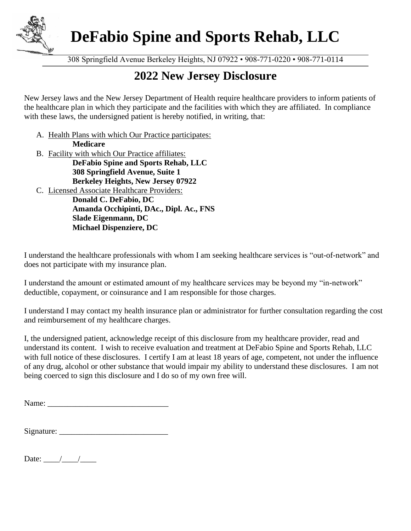

**DeFabio Spine and Sports Rehab, LLC**

308 Springfield Avenue Berkeley Heights, NJ 07922 • 908-771-0220 • 908-771-0114

### **2022 New Jersey Disclosure**

New Jersey laws and the New Jersey Department of Health require healthcare providers to inform patients of the healthcare plan in which they participate and the facilities with which they are affiliated. In compliance with these laws, the undersigned patient is hereby notified, in writing, that:

- A. Health Plans with which Our Practice participates: **Medicare**
- B. Facility with which Our Practice affiliates:

**DeFabio Spine and Sports Rehab, LLC 308 Springfield Avenue, Suite 1 Berkeley Heights, New Jersey 07922**

C. Licensed Associate Healthcare Providers: **Donald C. DeFabio, DC Amanda Occhipinti, DAc., Dipl. Ac., FNS Slade Eigenmann, DC Michael Dispenziere, DC**

I understand the healthcare professionals with whom I am seeking healthcare services is "out-of-network" and does not participate with my insurance plan.

I understand the amount or estimated amount of my healthcare services may be beyond my "in-network" deductible, copayment, or coinsurance and I am responsible for those charges.

I understand I may contact my health insurance plan or administrator for further consultation regarding the cost and reimbursement of my healthcare charges.

I, the undersigned patient, acknowledge receipt of this disclosure from my healthcare provider, read and understand its content. I wish to receive evaluation and treatment at DeFabio Spine and Sports Rehab, LLC with full notice of these disclosures. I certify I am at least 18 years of age, competent, not under the influence of any drug, alcohol or other substance that would impair my ability to understand these disclosures. I am not being coerced to sign this disclosure and I do so of my own free will.

Name:

| Signature: |  |  |
|------------|--|--|
|------------|--|--|

Date:  $\frac{1}{\sqrt{2\pi}}$